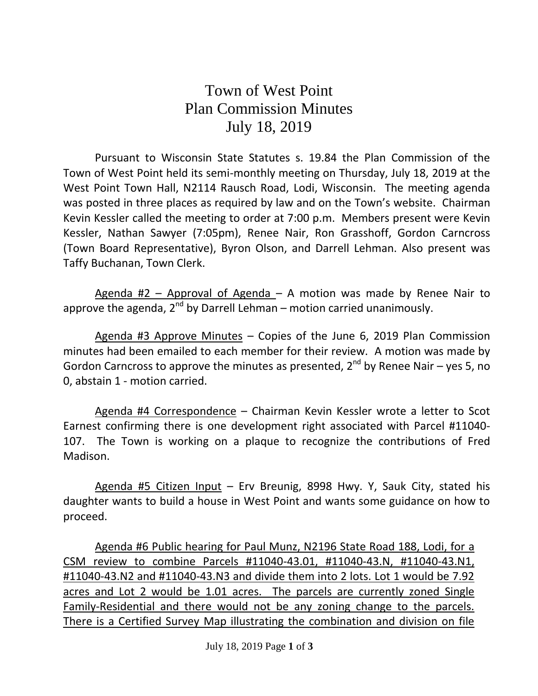## Town of West Point Plan Commission Minutes July 18, 2019

Pursuant to Wisconsin State Statutes s. 19.84 the Plan Commission of the Town of West Point held its semi-monthly meeting on Thursday, July 18, 2019 at the West Point Town Hall, N2114 Rausch Road, Lodi, Wisconsin. The meeting agenda was posted in three places as required by law and on the Town's website. Chairman Kevin Kessler called the meeting to order at 7:00 p.m. Members present were Kevin Kessler, Nathan Sawyer (7:05pm), Renee Nair, Ron Grasshoff, Gordon Carncross (Town Board Representative), Byron Olson, and Darrell Lehman. Also present was Taffy Buchanan, Town Clerk.

Agenda #2 – Approval of Agenda – A motion was made by Renee Nair to approve the agenda, 2<sup>nd</sup> by Darrell Lehman – motion carried unanimously.

Agenda #3 Approve Minutes – Copies of the June 6, 2019 Plan Commission minutes had been emailed to each member for their review. A motion was made by Gordon Carncross to approve the minutes as presented,  $2^{nd}$  by Renee Nair – yes 5, no 0, abstain 1 - motion carried.

Agenda #4 Correspondence – Chairman Kevin Kessler wrote a letter to Scot Earnest confirming there is one development right associated with Parcel #11040- 107. The Town is working on a plaque to recognize the contributions of Fred Madison.

Agenda #5 Citizen Input - Erv Breunig, 8998 Hwy. Y, Sauk City, stated his daughter wants to build a house in West Point and wants some guidance on how to proceed.

Agenda #6 Public hearing for Paul Munz, N2196 State Road 188, Lodi, for a CSM review to combine Parcels #11040-43.01, #11040-43.N, #11040-43.N1, #11040-43.N2 and #11040-43.N3 and divide them into 2 lots. Lot 1 would be 7.92 acres and Lot 2 would be 1.01 acres. The parcels are currently zoned Single Family-Residential and there would not be any zoning change to the parcels. There is a Certified Survey Map illustrating the combination and division on file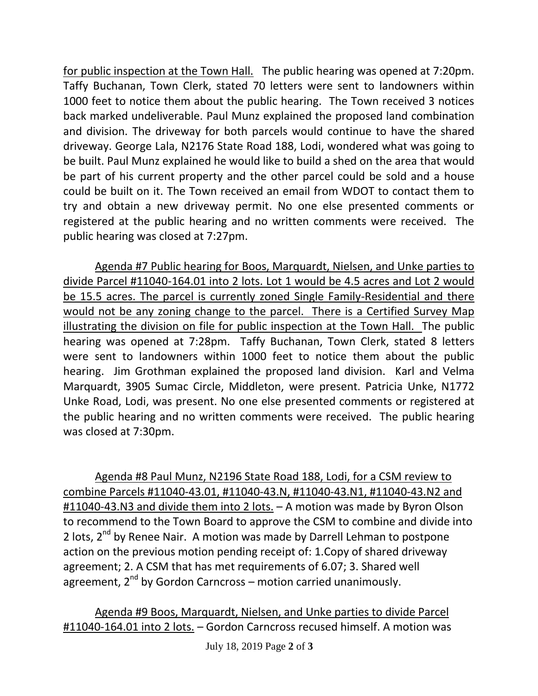for public inspection at the Town Hall. The public hearing was opened at 7:20pm. Taffy Buchanan, Town Clerk, stated 70 letters were sent to landowners within 1000 feet to notice them about the public hearing. The Town received 3 notices back marked undeliverable. Paul Munz explained the proposed land combination and division. The driveway for both parcels would continue to have the shared driveway. George Lala, N2176 State Road 188, Lodi, wondered what was going to be built. Paul Munz explained he would like to build a shed on the area that would be part of his current property and the other parcel could be sold and a house could be built on it. The Town received an email from WDOT to contact them to try and obtain a new driveway permit. No one else presented comments or registered at the public hearing and no written comments were received. The public hearing was closed at 7:27pm.

Agenda #7 Public hearing for Boos, Marquardt, Nielsen, and Unke parties to divide Parcel #11040-164.01 into 2 lots. Lot 1 would be 4.5 acres and Lot 2 would be 15.5 acres. The parcel is currently zoned Single Family-Residential and there would not be any zoning change to the parcel. There is a Certified Survey Map illustrating the division on file for public inspection at the Town Hall. The public hearing was opened at 7:28pm. Taffy Buchanan, Town Clerk, stated 8 letters were sent to landowners within 1000 feet to notice them about the public hearing. Jim Grothman explained the proposed land division. Karl and Velma Marquardt, 3905 Sumac Circle, Middleton, were present. Patricia Unke, N1772 Unke Road, Lodi, was present. No one else presented comments or registered at the public hearing and no written comments were received. The public hearing was closed at 7:30pm.

Agenda #8 Paul Munz, N2196 State Road 188, Lodi, for a CSM review to combine Parcels #11040-43.01, #11040-43.N, #11040-43.N1, #11040-43.N2 and #11040-43.N3 and divide them into 2 lots. – A motion was made by Byron Olson to recommend to the Town Board to approve the CSM to combine and divide into 2 lots,  $2^{nd}$  by Renee Nair. A motion was made by Darrell Lehman to postpone action on the previous motion pending receipt of: 1.Copy of shared driveway agreement; 2. A CSM that has met requirements of 6.07; 3. Shared well agreement,  $2^{nd}$  by Gordon Carncross – motion carried unanimously.

Agenda #9 Boos, Marquardt, Nielsen, and Unke parties to divide Parcel #11040-164.01 into 2 lots. – Gordon Carncross recused himself. A motion was